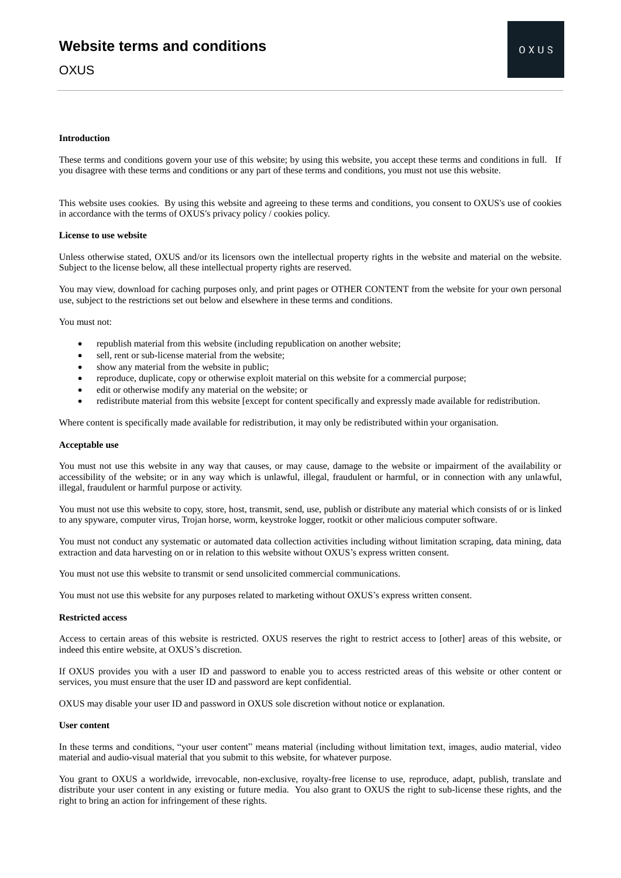# **Introduction**

These terms and conditions govern your use of this website; by using this website, you accept these terms and conditions in full. If you disagree with these terms and conditions or any part of these terms and conditions, you must not use this website.

This website uses cookies. By using this website and agreeing to these terms and conditions, you consent to OXUS's use of cookies in accordance with the terms of OXUS's privacy policy / cookies policy.

#### **License to use website**

Unless otherwise stated, OXUS and/or its licensors own the intellectual property rights in the website and material on the website. Subject to the license below, all these intellectual property rights are reserved.

You may view, download for caching purposes only, and print pages or OTHER CONTENT from the website for your own personal use, subject to the restrictions set out below and elsewhere in these terms and conditions.

You must not:

- republish material from this website (including republication on another website;
- sell, rent or sub-license material from the website;
- show any material from the website in public;
- reproduce, duplicate, copy or otherwise exploit material on this website for a commercial purpose;
- edit or otherwise modify any material on the website; or
- redistribute material from this website [except for content specifically and expressly made available for redistribution.

Where content is specifically made available for redistribution, it may only be redistributed within your organisation.

#### **Acceptable use**

You must not use this website in any way that causes, or may cause, damage to the website or impairment of the availability or accessibility of the website; or in any way which is unlawful, illegal, fraudulent or harmful, or in connection with any unlawful, illegal, fraudulent or harmful purpose or activity.

You must not use this website to copy, store, host, transmit, send, use, publish or distribute any material which consists of or is linked to any spyware, computer virus, Trojan horse, worm, keystroke logger, rootkit or other malicious computer software.

You must not conduct any systematic or automated data collection activities including without limitation scraping, data mining, data extraction and data harvesting on or in relation to this website without OXUS's express written consent.

You must not use this website to transmit or send unsolicited commercial communications.

You must not use this website for any purposes related to marketing without OXUS's express written consent.

#### **Restricted access**

Access to certain areas of this website is restricted. OXUS reserves the right to restrict access to [other] areas of this website, or indeed this entire website, at OXUS's discretion.

If OXUS provides you with a user ID and password to enable you to access restricted areas of this website or other content or services, you must ensure that the user ID and password are kept confidential.

OXUS may disable your user ID and password in OXUS sole discretion without notice or explanation.

# **User content**

In these terms and conditions, "your user content" means material (including without limitation text, images, audio material, video material and audio-visual material that you submit to this website, for whatever purpose.

You grant to OXUS a worldwide, irrevocable, non-exclusive, royalty-free license to use, reproduce, adapt, publish, translate and distribute your user content in any existing or future media. You also grant to OXUS the right to sub-license these rights, and the right to bring an action for infringement of these rights.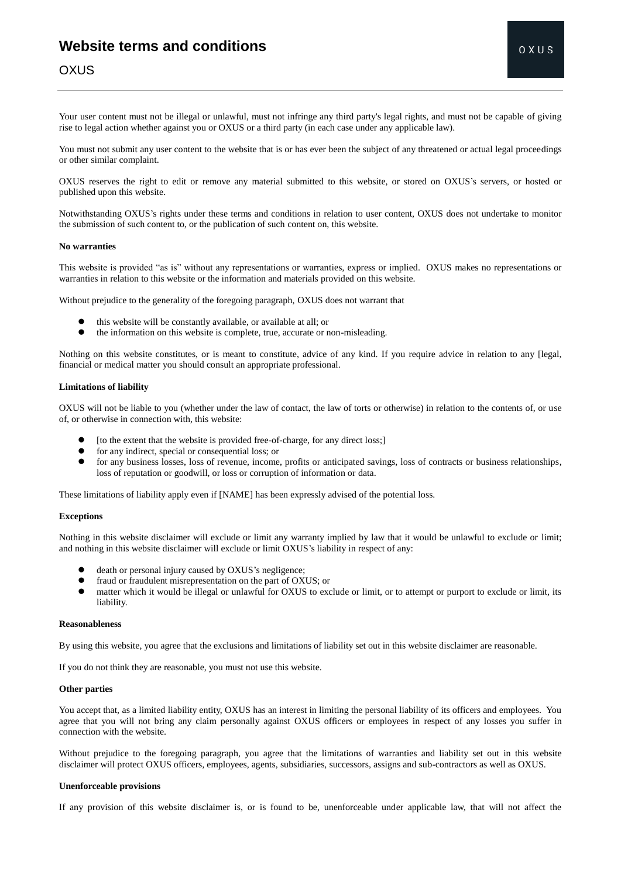# **Website terms and conditions**

# **OXUS**

Your user content must not be illegal or unlawful, must not infringe any third party's legal rights, and must not be capable of giving rise to legal action whether against you or OXUS or a third party (in each case under any applicable law).

You must not submit any user content to the website that is or has ever been the subject of any threatened or actual legal proceedings or other similar complaint.

OXUS reserves the right to edit or remove any material submitted to this website, or stored on OXUS's servers, or hosted or published upon this website.

Notwithstanding OXUS's rights under these terms and conditions in relation to user content, OXUS does not undertake to monitor the submission of such content to, or the publication of such content on, this website.

# **No warranties**

This website is provided "as is" without any representations or warranties, express or implied. OXUS makes no representations or warranties in relation to this website or the information and materials provided on this website.

Without prejudice to the generality of the foregoing paragraph, OXUS does not warrant that

- this website will be constantly available, or available at all; or
- the information on this website is complete, true, accurate or non-misleading.

Nothing on this website constitutes, or is meant to constitute, advice of any kind. If you require advice in relation to any [legal, financial or medical matter you should consult an appropriate professional.

# **Limitations of liability**

OXUS will not be liable to you (whether under the law of contact, the law of torts or otherwise) in relation to the contents of, or use of, or otherwise in connection with, this website:

- [to the extent that the website is provided free-of-charge, for any direct loss;]
- for any indirect, special or consequential loss; or
- for any business losses, loss of revenue, income, profits or anticipated savings, loss of contracts or business relationships, loss of reputation or goodwill, or loss or corruption of information or data.

These limitations of liability apply even if [NAME] has been expressly advised of the potential loss.

### **Exceptions**

Nothing in this website disclaimer will exclude or limit any warranty implied by law that it would be unlawful to exclude or limit; and nothing in this website disclaimer will exclude or limit OXUS's liability in respect of any:

- death or personal injury caused by OXUS's negligence;
- fraud or fraudulent misrepresentation on the part of OXUS; or
- matter which it would be illegal or unlawful for OXUS to exclude or limit, or to attempt or purport to exclude or limit, its liability.

# **Reasonableness**

By using this website, you agree that the exclusions and limitations of liability set out in this website disclaimer are reasonable.

If you do not think they are reasonable, you must not use this website.

### **Other parties**

You accept that, as a limited liability entity, OXUS has an interest in limiting the personal liability of its officers and employees. You agree that you will not bring any claim personally against OXUS officers or employees in respect of any losses you suffer in connection with the website.

Without prejudice to the foregoing paragraph, you agree that the limitations of warranties and liability set out in this website disclaimer will protect OXUS officers, employees, agents, subsidiaries, successors, assigns and sub-contractors as well as OXUS.

### **Unenforceable provisions**

If any provision of this website disclaimer is, or is found to be, unenforceable under applicable law, that will not affect the